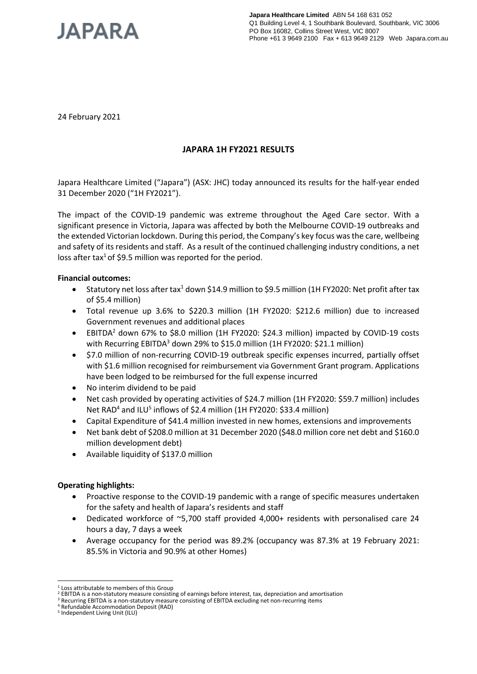

24 February 2021

# **JAPARA 1H FY2021 RESULTS**

Japara Healthcare Limited ("Japara") (ASX: JHC) today announced its results for the half-year ended 31 December 2020 ("1H FY2021").

The impact of the COVID-19 pandemic was extreme throughout the Aged Care sector. With a significant presence in Victoria, Japara was affected by both the Melbourne COVID-19 outbreaks and the extended Victorian lockdown. During this period, the Company's key focus was the care, wellbeing and safety of its residents and staff. As a result of the continued challenging industry conditions, a net loss after tax<sup>1</sup> of \$9.5 million was reported for the period.

### **Financial outcomes:**

- Statutory net loss after tax<sup>1</sup> down \$14.9 million to \$9.5 million (1H FY2020: Net profit after tax of \$5.4 million)
- Total revenue up 3.6% to \$220.3 million (1H FY2020: \$212.6 million) due to increased Government revenues and additional places
- EBITDA<sup>2</sup> down 67% to \$8.0 million (1H FY2020: \$24.3 million) impacted by COVID-19 costs with Recurring EBITDA<sup>3</sup> down 29% to \$15.0 million (1H FY2020: \$21.1 million)
- \$7.0 million of non-recurring COVID-19 outbreak specific expenses incurred, partially offset with \$1.6 million recognised for reimbursement via Government Grant program. Applications have been lodged to be reimbursed for the full expense incurred
- No interim dividend to be paid
- Net cash provided by operating activities of \$24.7 million (1H FY2020: \$59.7 million) includes Net RAD<sup>4</sup> and ILU<sup>5</sup> inflows of \$2.4 million (1H FY2020: \$33.4 million)
- Capital Expenditure of \$41.4 million invested in new homes, extensions and improvements
- Net bank debt of \$208.0 million at 31 December 2020 (\$48.0 million core net debt and \$160.0 million development debt)
- Available liquidity of \$137.0 million

# **Operating highlights:**

- Proactive response to the COVID-19 pandemic with a range of specific measures undertaken for the safety and health of Japara's residents and staff
- Dedicated workforce of ~5,700 staff provided 4,000+ residents with personalised care 24 hours a day, 7 days a week
- Average occupancy for the period was 89.2% (occupancy was 87.3% at 19 February 2021: 85.5% in Victoria and 90.9% at other Homes)

<sup>1</sup> <sup>1</sup> Loss attributable to members of this Group

<sup>2</sup> EBITDA is a non-statutory measure consisting of earnings before interest, tax, depreciation and amortisation

<sup>&</sup>lt;sup>3</sup> Recurring EBITDA is a non-statutory measure consisting of EBITDA excluding net non-recurring items

<sup>4</sup> Refundable Accommodation Deposit (RAD)

<sup>5</sup> Independent Living Unit (ILU)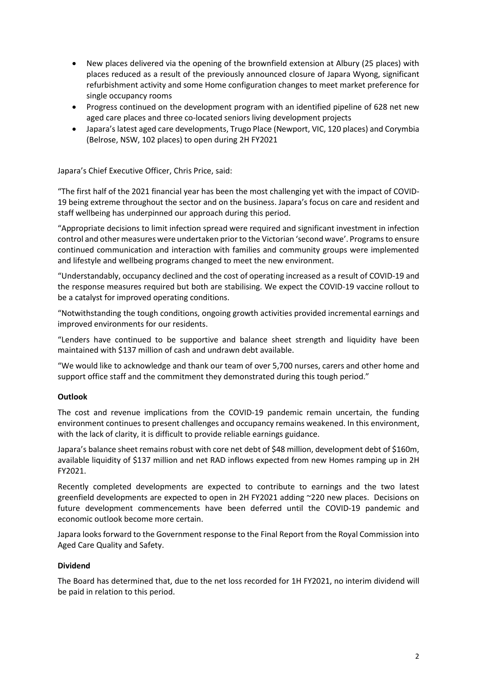- New places delivered via the opening of the brownfield extension at Albury (25 places) with places reduced as a result of the previously announced closure of Japara Wyong, significant refurbishment activity and some Home configuration changes to meet market preference for single occupancy rooms
- Progress continued on the development program with an identified pipeline of 628 net new aged care places and three co-located seniors living development projects
- Japara's latest aged care developments, Trugo Place (Newport, VIC, 120 places) and Corymbia (Belrose, NSW, 102 places) to open during 2H FY2021

Japara's Chief Executive Officer, Chris Price, said:

"The first half of the 2021 financial year has been the most challenging yet with the impact of COVID-19 being extreme throughout the sector and on the business. Japara's focus on care and resident and staff wellbeing has underpinned our approach during this period.

"Appropriate decisions to limit infection spread were required and significant investment in infection control and other measures were undertaken prior to the Victorian 'second wave'. Programs to ensure continued communication and interaction with families and community groups were implemented and lifestyle and wellbeing programs changed to meet the new environment.

"Understandably, occupancy declined and the cost of operating increased as a result of COVID-19 and the response measures required but both are stabilising. We expect the COVID-19 vaccine rollout to be a catalyst for improved operating conditions.

"Notwithstanding the tough conditions, ongoing growth activities provided incremental earnings and improved environments for our residents.

"Lenders have continued to be supportive and balance sheet strength and liquidity have been maintained with \$137 million of cash and undrawn debt available.

"We would like to acknowledge and thank our team of over 5,700 nurses, carers and other home and support office staff and the commitment they demonstrated during this tough period."

# **Outlook**

The cost and revenue implications from the COVID-19 pandemic remain uncertain, the funding environment continues to present challenges and occupancy remains weakened. In this environment, with the lack of clarity, it is difficult to provide reliable earnings guidance.

Japara's balance sheet remains robust with core net debt of \$48 million, development debt of \$160m, available liquidity of \$137 million and net RAD inflows expected from new Homes ramping up in 2H FY2021.

Recently completed developments are expected to contribute to earnings and the two latest greenfield developments are expected to open in 2H FY2021 adding ~220 new places. Decisions on future development commencements have been deferred until the COVID-19 pandemic and economic outlook become more certain.

Japara looks forward to the Government response to the Final Report from the Royal Commission into Aged Care Quality and Safety.

# **Dividend**

The Board has determined that, due to the net loss recorded for 1H FY2021, no interim dividend will be paid in relation to this period.